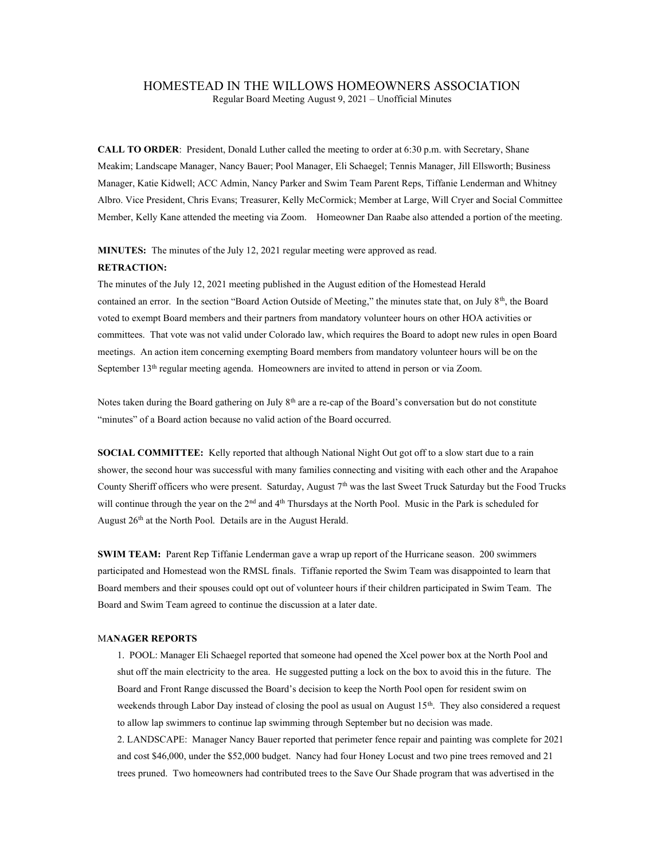## HOMESTEAD IN THE WILLOWS HOMEOWNERS ASSOCIATION

Regular Board Meeting August 9, 2021 – Unofficial Minutes

CALL TO ORDER: President, Donald Luther called the meeting to order at 6:30 p.m. with Secretary, Shane Meakim; Landscape Manager, Nancy Bauer; Pool Manager, Eli Schaegel; Tennis Manager, Jill Ellsworth; Business Manager, Katie Kidwell; ACC Admin, Nancy Parker and Swim Team Parent Reps, Tiffanie Lenderman and Whitney Albro. Vice President, Chris Evans; Treasurer, Kelly McCormick; Member at Large, Will Cryer and Social Committee Member, Kelly Kane attended the meeting via Zoom. Homeowner Dan Raabe also attended a portion of the meeting.

MINUTES: The minutes of the July 12, 2021 regular meeting were approved as read.

## RETRACTION:

The minutes of the July 12, 2021 meeting published in the August edition of the Homestead Herald contained an error. In the section "Board Action Outside of Meeting," the minutes state that, on July  $8<sup>th</sup>$ , the Board voted to exempt Board members and their partners from mandatory volunteer hours on other HOA activities or committees. That vote was not valid under Colorado law, which requires the Board to adopt new rules in open Board meetings. An action item concerning exempting Board members from mandatory volunteer hours will be on the September 13<sup>th</sup> regular meeting agenda. Homeowners are invited to attend in person or via Zoom.

Notes taken during the Board gathering on July 8<sup>th</sup> are a re-cap of the Board's conversation but do not constitute "minutes" of a Board action because no valid action of the Board occurred.

SOCIAL COMMITTEE: Kelly reported that although National Night Out got off to a slow start due to a rain shower, the second hour was successful with many families connecting and visiting with each other and the Arapahoe County Sheriff officers who were present. Saturday, August 7<sup>th</sup> was the last Sweet Truck Saturday but the Food Trucks will continue through the year on the 2<sup>nd</sup> and  $4<sup>th</sup>$  Thursdays at the North Pool. Music in the Park is scheduled for August 26<sup>th</sup> at the North Pool. Details are in the August Herald.

SWIM TEAM: Parent Rep Tiffanie Lenderman gave a wrap up report of the Hurricane season. 200 swimmers participated and Homestead won the RMSL finals. Tiffanie reported the Swim Team was disappointed to learn that Board members and their spouses could opt out of volunteer hours if their children participated in Swim Team. The Board and Swim Team agreed to continue the discussion at a later date.

## MANAGER REPORTS

1. POOL: Manager Eli Schaegel reported that someone had opened the Xcel power box at the North Pool and shut off the main electricity to the area. He suggested putting a lock on the box to avoid this in the future. The Board and Front Range discussed the Board's decision to keep the North Pool open for resident swim on weekends through Labor Day instead of closing the pool as usual on August 15<sup>th</sup>. They also considered a request to allow lap swimmers to continue lap swimming through September but no decision was made.

2. LANDSCAPE: Manager Nancy Bauer reported that perimeter fence repair and painting was complete for 2021 and cost \$46,000, under the \$52,000 budget. Nancy had four Honey Locust and two pine trees removed and 21 trees pruned. Two homeowners had contributed trees to the Save Our Shade program that was advertised in the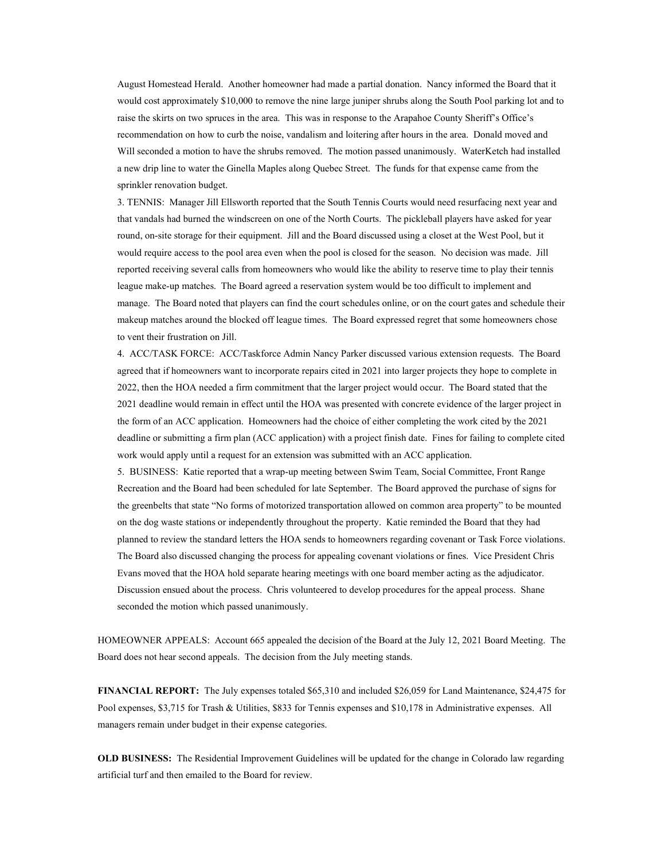August Homestead Herald. Another homeowner had made a partial donation. Nancy informed the Board that it would cost approximately \$10,000 to remove the nine large juniper shrubs along the South Pool parking lot and to raise the skirts on two spruces in the area. This was in response to the Arapahoe County Sheriff's Office's recommendation on how to curb the noise, vandalism and loitering after hours in the area. Donald moved and Will seconded a motion to have the shrubs removed. The motion passed unanimously. WaterKetch had installed a new drip line to water the Ginella Maples along Quebec Street. The funds for that expense came from the sprinkler renovation budget.

3. TENNIS: Manager Jill Ellsworth reported that the South Tennis Courts would need resurfacing next year and that vandals had burned the windscreen on one of the North Courts. The pickleball players have asked for year round, on-site storage for their equipment. Jill and the Board discussed using a closet at the West Pool, but it would require access to the pool area even when the pool is closed for the season. No decision was made. Jill reported receiving several calls from homeowners who would like the ability to reserve time to play their tennis league make-up matches. The Board agreed a reservation system would be too difficult to implement and manage. The Board noted that players can find the court schedules online, or on the court gates and schedule their makeup matches around the blocked off league times. The Board expressed regret that some homeowners chose to vent their frustration on Jill.

4. ACC/TASK FORCE: ACC/Taskforce Admin Nancy Parker discussed various extension requests. The Board agreed that if homeowners want to incorporate repairs cited in 2021 into larger projects they hope to complete in 2022, then the HOA needed a firm commitment that the larger project would occur. The Board stated that the 2021 deadline would remain in effect until the HOA was presented with concrete evidence of the larger project in the form of an ACC application. Homeowners had the choice of either completing the work cited by the 2021 deadline or submitting a firm plan (ACC application) with a project finish date. Fines for failing to complete cited work would apply until a request for an extension was submitted with an ACC application.

5. BUSINESS: Katie reported that a wrap-up meeting between Swim Team, Social Committee, Front Range Recreation and the Board had been scheduled for late September. The Board approved the purchase of signs for the greenbelts that state "No forms of motorized transportation allowed on common area property" to be mounted on the dog waste stations or independently throughout the property. Katie reminded the Board that they had planned to review the standard letters the HOA sends to homeowners regarding covenant or Task Force violations. The Board also discussed changing the process for appealing covenant violations or fines. Vice President Chris Evans moved that the HOA hold separate hearing meetings with one board member acting as the adjudicator. Discussion ensued about the process. Chris volunteered to develop procedures for the appeal process. Shane seconded the motion which passed unanimously.

HOMEOWNER APPEALS: Account 665 appealed the decision of the Board at the July 12, 2021 Board Meeting. The Board does not hear second appeals. The decision from the July meeting stands.

FINANCIAL REPORT: The July expenses totaled \$65,310 and included \$26,059 for Land Maintenance, \$24,475 for Pool expenses, \$3,715 for Trash & Utilities, \$833 for Tennis expenses and \$10,178 in Administrative expenses. All managers remain under budget in their expense categories.

OLD BUSINESS: The Residential Improvement Guidelines will be updated for the change in Colorado law regarding artificial turf and then emailed to the Board for review.